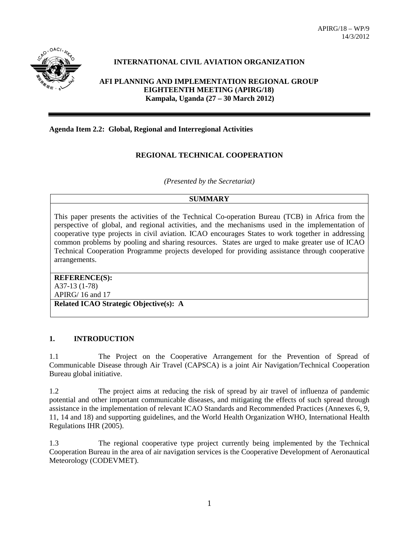

# **INTERNATIONAL CIVIL AVIATION ORGANIZATION**

**AFI PLANNING AND IMPLEMENTATION REGIONAL GROUP EIGHTEENTH MEETING (APIRG/18) Kampala, Uganda (27 – 30 March 2012)**

### **Agenda Item 2.2: Global, Regional and Interregional Activities**

### **REGIONAL TECHNICAL COOPERATION**

*(Presented by the Secretariat)*

#### **SUMMARY**

This paper presents the activities of the Technical Co-operation Bureau (TCB) in Africa from the perspective of global, and regional activities, and the mechanisms used in the implementation of cooperative type projects in civil aviation. ICAO encourages States to work together in addressing common problems by pooling and sharing resources. States are urged to make greater use of ICAO Technical Cooperation Programme projects developed for providing assistance through cooperative arrangements.

#### **REFERENCE(S):** A37-13 (1-78)

APIRG/ 16 and 17

**Related ICAO Strategic Objective(s): A**

### **1. INTRODUCTION**

1.1 The Project on the Cooperative Arrangement for the Prevention of Spread of Communicable Disease through Air Travel (CAPSCA) is a joint Air Navigation/Technical Cooperation Bureau global initiative.

1.2 The project aims at reducing the risk of spread by air travel of influenza of pandemic potential and other important communicable diseases, and mitigating the effects of such spread through assistance in the implementation of relevant ICAO Standards and Recommended Practices (Annexes 6, 9, 11, 14 and 18) and supporting guidelines, and the World Health Organization WHO, International Health Regulations IHR (2005).

1.3 The regional cooperative type project currently being implemented by the Technical Cooperation Bureau in the area of air navigation services is the Cooperative Development of Aeronautical Meteorology (CODEVMET).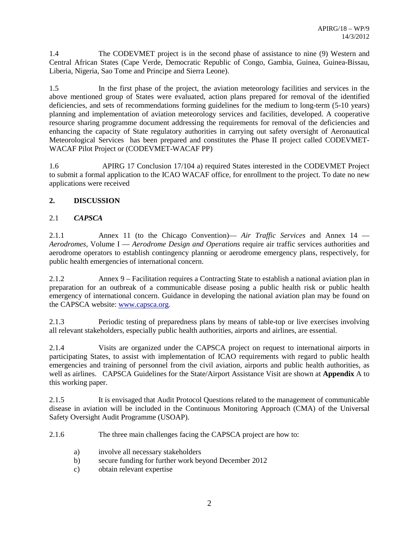1.4 The CODEVMET project is in the second phase of assistance to nine (9) Western and Central African States (Cape Verde, Democratic Republic of Congo, Gambia, Guinea, Guinea-Bissau, Liberia, Nigeria, Sao Tome and Principe and Sierra Leone).

1.5 In the first phase of the project, the aviation meteorology facilities and services in the above mentioned group of States were evaluated, action plans prepared for removal of the identified deficiencies, and sets of recommendations forming guidelines for the medium to long-term (5-10 years) planning and implementation of aviation meteorology services and facilities, developed. A cooperative resource sharing programme document addressing the requirements for removal of the deficiencies and enhancing the capacity of State regulatory authorities in carrying out safety oversight of Aeronautical Meteorological Services has been prepared and constitutes the Phase II project called CODEVMET-WACAF Pilot Project or (CODEVMET-WACAF PP)

1.6 APIRG 17 Conclusion 17/104 a) required States interested in the CODEVMET Project to submit a formal application to the ICAO WACAF office, for enrollment to the project. To date no new applications were received

### **2. DISCUSSION**

## 2.1 *CAPSCA*

2.1.1 Annex 11 (to the Chicago Convention)— *Air Traffic Services* and Annex 14 — *Aerodromes,* Volume I — *Aerodrome Design and Operations* require air traffic services authorities and aerodrome operators to establish contingency planning or aerodrome emergency plans, respectively, for public health emergencies of international concern.

2.1.2 Annex 9 – Facilitation requires a Contracting State to establish a national aviation plan in preparation for an outbreak of a communicable disease posing a public health risk or public health emergency of international concern. Guidance in developing the national aviation plan may be found on the CAPSCA website: www.capsca.org.

2.1.3 Periodic testing of preparedness plans by means of table-top or live exercises involving all relevant stakeholders, especially public health authorities, airports and airlines, are essential.

2.1.4 Visits are organized under the CAPSCA project on request to international airports in participating States, to assist with implementation of ICAO requirements with regard to public health emergencies and training of personnel from the civil aviation, airports and public health authorities, as well as airlines. CAPSCA Guidelines for the State/Airport Assistance Visit are shown at **Appendix** A to this working paper.

2.1.5 It is envisaged that Audit Protocol Questions related to the management of communicable disease in aviation will be included in the Continuous Monitoring Approach (CMA) of the Universal Safety Oversight Audit Programme (USOAP).

2.1.6 The three main challenges facing the CAPSCA project are how to:

- a) involve all necessary stakeholders
- b) secure funding for further work beyond December 2012
- c) obtain relevant expertise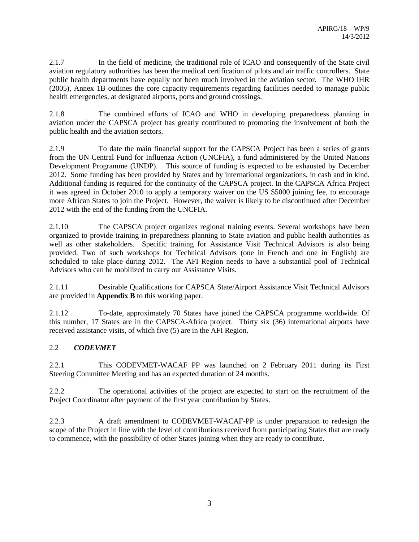2.1.7 In the field of medicine, the traditional role of ICAO and consequently of the State civil aviation regulatory authorities has been the medical certification of pilots and air traffic controllers. State public health departments have equally not been much involved in the aviation sector. The WHO IHR (2005), Annex 1B outlines the core capacity requirements regarding facilities needed to manage public health emergencies, at designated airports, ports and ground crossings.

2.1.8 The combined efforts of ICAO and WHO in developing preparedness planning in aviation under the CAPSCA project has greatly contributed to promoting the involvement of both the public health and the aviation sectors.

2.1.9 To date the main financial support for the CAPSCA Project has been a series of grants from the UN Central Fund for Influenza Action (UNCFIA), a fund administered by the United Nations Development Programme (UNDP). This source of funding is expected to be exhausted by December 2012. Some funding has been provided by States and by international organizations, in cash and in kind. Additional funding is required for the continuity of the CAPSCA project. In the CAPSCA Africa Project it was agreed in October 2010 to apply a temporary waiver on the US \$5000 joining fee, to encourage more African States to join the Project. However, the waiver is likely to be discontinued after December 2012 with the end of the funding from the UNCFIA.

2.1.10 The CAPSCA project organizes regional training events. Several workshops have been organized to provide training in preparedness planning to State aviation and public health authorities as well as other stakeholders. Specific training for Assistance Visit Technical Advisors is also being provided. Two of such workshops for Technical Advisors (one in French and one in English) are scheduled to take place during 2012. The AFI Region needs to have a substantial pool of Technical Advisors who can be mobilized to carry out Assistance Visits.

2.1.11 Desirable Qualifications for CAPSCA State/Airport Assistance Visit Technical Advisors are provided in **Appendix B** to this working paper.

2.1.12 To-date, approximately 70 States have joined the CAPSCA programme worldwide. Of this number, 17 States are in the CAPSCA-Africa project. Thirty six (36) international airports have received assistance visits, of which five (5) are in the AFI Region.

# 2.2 *CODEVMET*

2.2.1 This CODEVMET-WACAF PP was launched on 2 February 2011 during its First Steering Committee Meeting and has an expected duration of 24 months.

2.2.2 The operational activities of the project are expected to start on the recruitment of the Project Coordinator after payment of the first year contribution by States.

2.2.3 A draft amendment to CODEVMET-WACAF-PP is under preparation to redesign the scope of the Project in line with the level of contributions received from participating States that are ready to commence, with the possibility of other States joining when they are ready to contribute.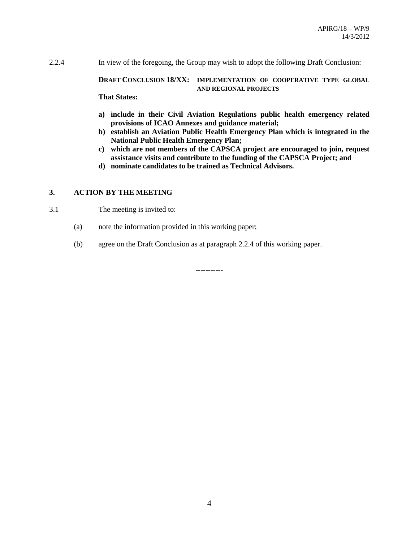2.2.4 In view of the foregoing, the Group may wish to adopt the following Draft Conclusion:

#### **DRAFT CONCLUSION 18/XX: IMPLEMENTATION OF COOPERATIVE TYPE GLOBAL AND REGIONAL PROJECTS**

**That States:**

- **a) include in their Civil Aviation Regulations public health emergency related provisions of ICAO Annexes and guidance material;**
- **b) establish an Aviation Public Health Emergency Plan which is integrated in the National Public Health Emergency Plan;**
- **c) which are not members of the CAPSCA project are encouraged to join, request assistance visits and contribute to the funding of the CAPSCA Project; and**
- **d) nominate candidates to be trained as Technical Advisors.**

#### **3. ACTION BY THE MEETING**

- 3.1 The meeting is invited to:
	- (a) note the information provided in this working paper;
	- (b) agree on the Draft Conclusion as at paragraph 2.2.4 of this working paper.

-----------

4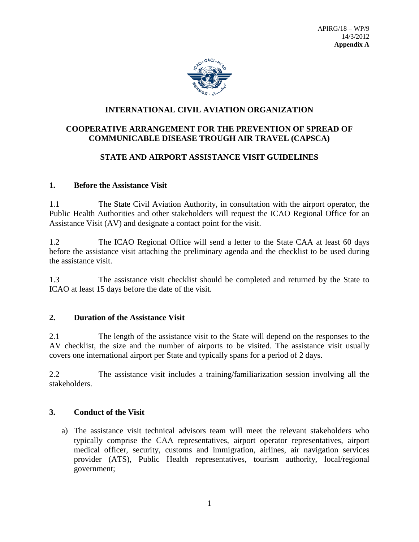

# **INTERNATIONAL CIVIL AVIATION ORGANIZATION**

# **COOPERATIVE ARRANGEMENT FOR THE PREVENTION OF SPREAD OF COMMUNICABLE DISEASE TROUGH AIR TRAVEL (CAPSCA)**

# **STATE AND AIRPORT ASSISTANCE VISIT GUIDELINES**

## **1. Before the Assistance Visit**

1.1 The State Civil Aviation Authority, in consultation with the airport operator, the Public Health Authorities and other stakeholders will request the ICAO Regional Office for an Assistance Visit (AV) and designate a contact point for the visit.

1.2 The ICAO Regional Office will send a letter to the State CAA at least 60 days before the assistance visit attaching the preliminary agenda and the checklist to be used during the assistance visit.

1.3 The assistance visit checklist should be completed and returned by the State to ICAO at least 15 days before the date of the visit.

### **2. Duration of the Assistance Visit**

2.1 The length of the assistance visit to the State will depend on the responses to the AV checklist, the size and the number of airports to be visited. The assistance visit usually covers one international airport per State and typically spans for a period of 2 days.

2.2 The assistance visit includes a training/familiarization session involving all the stakeholders.

# **3. Conduct of the Visit**

a) The assistance visit technical advisors team will meet the relevant stakeholders who typically comprise the CAA representatives, airport operator representatives, airport medical officer, security, customs and immigration, airlines, air navigation services provider (ATS), Public Health representatives, tourism authority, local/regional government;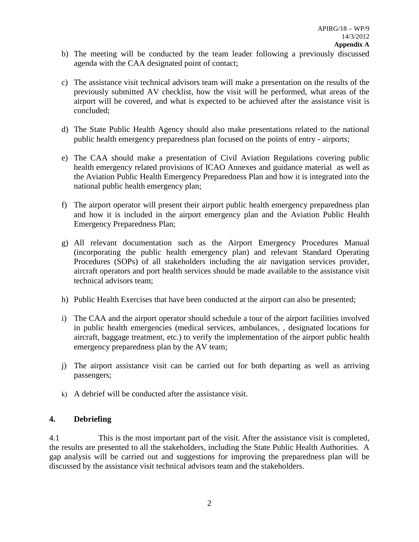- b) The meeting will be conducted by the team leader following a previously discussed agenda with the CAA designated point of contact;
- c) The assistance visit technical advisors team will make a presentation on the results of the previously submitted AV checklist, how the visit will be performed, what areas of the airport will be covered, and what is expected to be achieved after the assistance visit is concluded;
- d) The State Public Health Agency should also make presentations related to the national public health emergency preparedness plan focused on the points of entry - airports;
- e) The CAA should make a presentation of Civil Aviation Regulations covering public health emergency related provisions of ICAO Annexes and guidance material as well as the Aviation Public Health Emergency Preparedness Plan and how it is integrated into the national public health emergency plan;
- f) The airport operator will present their airport public health emergency preparedness plan and how it is included in the airport emergency plan and the Aviation Public Health Emergency Preparedness Plan;
- g) All relevant documentation such as the Airport Emergency Procedures Manual (incorporating the public health emergency plan) and relevant Standard Operating Procedures (SOPs) of all stakeholders including the air navigation services provider, aircraft operators and port health services should be made available to the assistance visit technical advisors team;
- h) Public Health Exercises that have been conducted at the airport can also be presented;
- i) The CAA and the airport operator should schedule a tour of the airport facilities involved in public health emergencies (medical services, ambulances, , designated locations for aircraft, baggage treatment, etc.) to verify the implementation of the airport public health emergency preparedness plan by the AV team;
- j) The airport assistance visit can be carried out for both departing as well as arriving passengers;
- k) A debrief will be conducted after the assistance visit.

## **4. Debriefing**

4.1 This is the most important part of the visit. After the assistance visit is completed, the results are presented to all the stakeholders, including the State Public Health Authorities. A gap analysis will be carried out and suggestions for improving the preparedness plan will be discussed by the assistance visit technical advisors team and the stakeholders.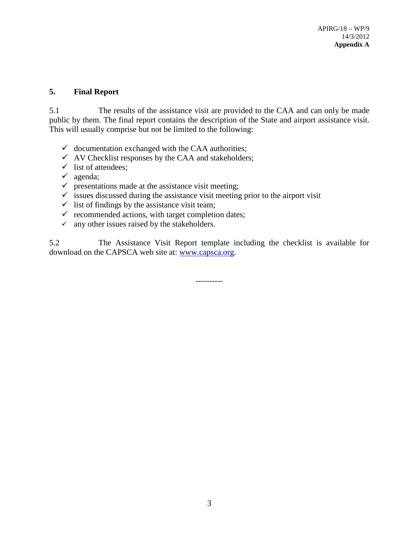# **5. Final Report**

5.1 The results of the assistance visit are provided to the CAA and can only be made public by them. The final report contains the description of the State and airport assistance visit. This will usually comprise but not be limited to the following:

- $\checkmark$  documentation exchanged with the CAA authorities;
- $\checkmark$  AV Checklist responses by the CAA and stakeholders;
- $\checkmark$  list of attendees;
- $\checkmark$  agenda;
- $\checkmark$  presentations made at the assistance visit meeting;
- $\checkmark$  issues discussed during the assistance visit meeting prior to the airport visit
- $\checkmark$  list of findings by the assistance visit team;
- $\checkmark$  recommended actions, with target completion dates;
- $\checkmark$  any other issues raised by the stakeholders.

5.2 The Assistance Visit Report template including the checklist is available for download on the CAPSCA web site at: [www.capsca.org.](http://www.capsca.org/)

----------